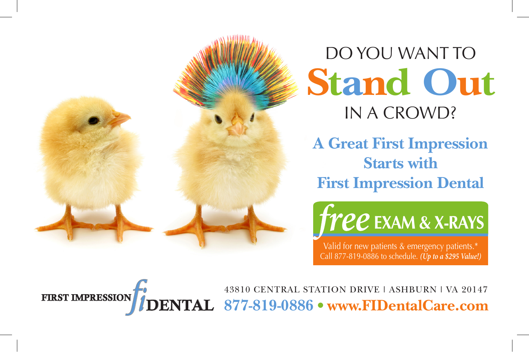

DO YOU WANT TO IN A CROWD? **Stand Out**

**A Great First Impression Starts with First Impression Dental**

**Free** EXAM & X-RAYS

Valid for new patients & emergency patients.\* Call 877-819-0886 to schedule. *(Up to a \$295 Value!)*

43810 CENTRAL STATION DRIVE | ASHBURN | VA 20147 **877-819-0886 • WWW.FIDentalCare.com** ), THENTAL 877-819-0886 • WWW.FIDentalCare.com